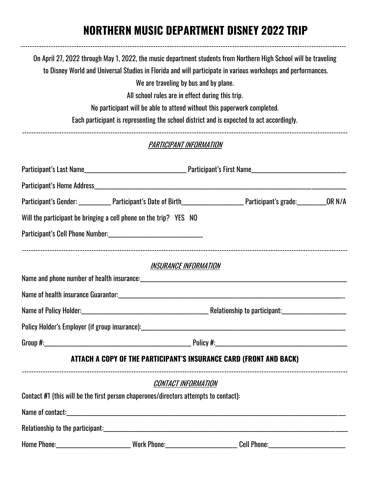## **NORTHERN MUSIC DEPARTMENT DISNEY 2022 TRIP**

|                        | On April 27, 2022 through May 1, 2022, the music department students from Northern High School will be traveling               |  |  |  |  |
|------------------------|--------------------------------------------------------------------------------------------------------------------------------|--|--|--|--|
|                        | to Disney World and Universal Studios in Florida and will participate in various workshops and performances.                   |  |  |  |  |
|                        | We are traveling by bus and by plane.                                                                                          |  |  |  |  |
|                        | All school rules are in effect during this trip.<br>No participant will be able to attend without this paperwork completed.    |  |  |  |  |
|                        | Each participant is representing the school district and is expected to act accordingly.                                       |  |  |  |  |
|                        | PARTICIPANT INFORMATION                                                                                                        |  |  |  |  |
|                        |                                                                                                                                |  |  |  |  |
|                        |                                                                                                                                |  |  |  |  |
|                        | Participant's Gender: ______________Participant's Date of Birth_________________________Participant's grade: ___________OR N/A |  |  |  |  |
|                        | Will the participant be bringing a cell phone on the trip? YES NO                                                              |  |  |  |  |
|                        |                                                                                                                                |  |  |  |  |
|                        | <b>INSURANCE INFORMATION</b>                                                                                                   |  |  |  |  |
|                        |                                                                                                                                |  |  |  |  |
|                        |                                                                                                                                |  |  |  |  |
| Name of Policy Holder: | Relationship to participant:                                                                                                   |  |  |  |  |
|                        |                                                                                                                                |  |  |  |  |
|                        |                                                                                                                                |  |  |  |  |
|                        | ATTACH A COPY OF THE PARTICIPANT'S INSURANCE CARD (FRONT AND BACK)                                                             |  |  |  |  |
|                        | <b>CONTACT INFORMATION</b>                                                                                                     |  |  |  |  |
|                        | Contact #1 (this will be the first person chaperones/directors attempts to contact):                                           |  |  |  |  |
|                        |                                                                                                                                |  |  |  |  |
|                        |                                                                                                                                |  |  |  |  |
|                        |                                                                                                                                |  |  |  |  |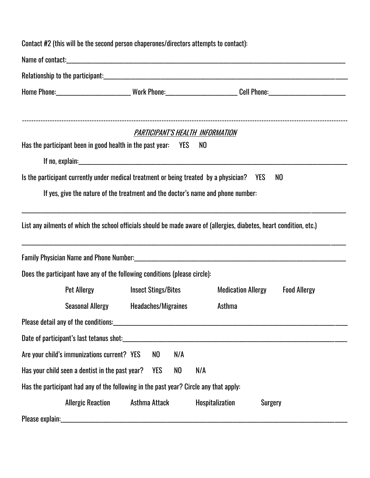| Contact #2 (this will be the second person chaperones/directors attempts to contact):                                                                                                                    |               |                                        |                                   |                     |  |  |  |  |
|----------------------------------------------------------------------------------------------------------------------------------------------------------------------------------------------------------|---------------|----------------------------------------|-----------------------------------|---------------------|--|--|--|--|
|                                                                                                                                                                                                          |               |                                        |                                   |                     |  |  |  |  |
|                                                                                                                                                                                                          |               |                                        |                                   |                     |  |  |  |  |
|                                                                                                                                                                                                          |               |                                        |                                   |                     |  |  |  |  |
| Has the participant been in good health in the past year: YES                                                                                                                                            |               | PARTICIPANT'S HEALTH INFORMATION<br>NO |                                   |                     |  |  |  |  |
|                                                                                                                                                                                                          |               |                                        |                                   |                     |  |  |  |  |
| Is the participant currently under medical treatment or being treated by a physician? YES<br>NO                                                                                                          |               |                                        |                                   |                     |  |  |  |  |
| If yes, give the nature of the treatment and the doctor's name and phone number:                                                                                                                         |               |                                        |                                   |                     |  |  |  |  |
| ,我们也不会有什么。""我们的人,我们也不会有什么?""我们的人,我们也不会有什么?""我们的人,我们也不会有什么?""我们的人,我们也不会有什么?""我们的人<br>List any ailments of which the school officials should be made aware of (allergies, diabetes, heart condition, etc.) |               |                                        |                                   |                     |  |  |  |  |
| Does the participant have any of the following conditions (please circle):                                                                                                                               |               |                                        |                                   |                     |  |  |  |  |
| Pet Allergy Finsect Stings/Bites                                                                                                                                                                         |               |                                        | <b>Medication Allergy</b>         | <b>Food Allergy</b> |  |  |  |  |
| Seasonal Allergy Headaches/Migraines                                                                                                                                                                     |               |                                        | Asthma                            |                     |  |  |  |  |
|                                                                                                                                                                                                          |               |                                        |                                   |                     |  |  |  |  |
| Date of participant's last tetanus shot:                                                                                                                                                                 |               |                                        |                                   |                     |  |  |  |  |
| Are your child's immunizations current? YES                                                                                                                                                              | NO            | N/A                                    |                                   |                     |  |  |  |  |
| Has your child seen a dentist in the past year?                                                                                                                                                          | <b>YES</b>    | N/A<br>NO                              |                                   |                     |  |  |  |  |
| Has the participant had any of the following in the past year? Circle any that apply:                                                                                                                    |               |                                        |                                   |                     |  |  |  |  |
| <b>Allergic Reaction</b>                                                                                                                                                                                 | Asthma Attack |                                        | Hospitalization<br><b>Surgery</b> |                     |  |  |  |  |
| Please explain:                                                                                                                                                                                          |               |                                        |                                   |                     |  |  |  |  |